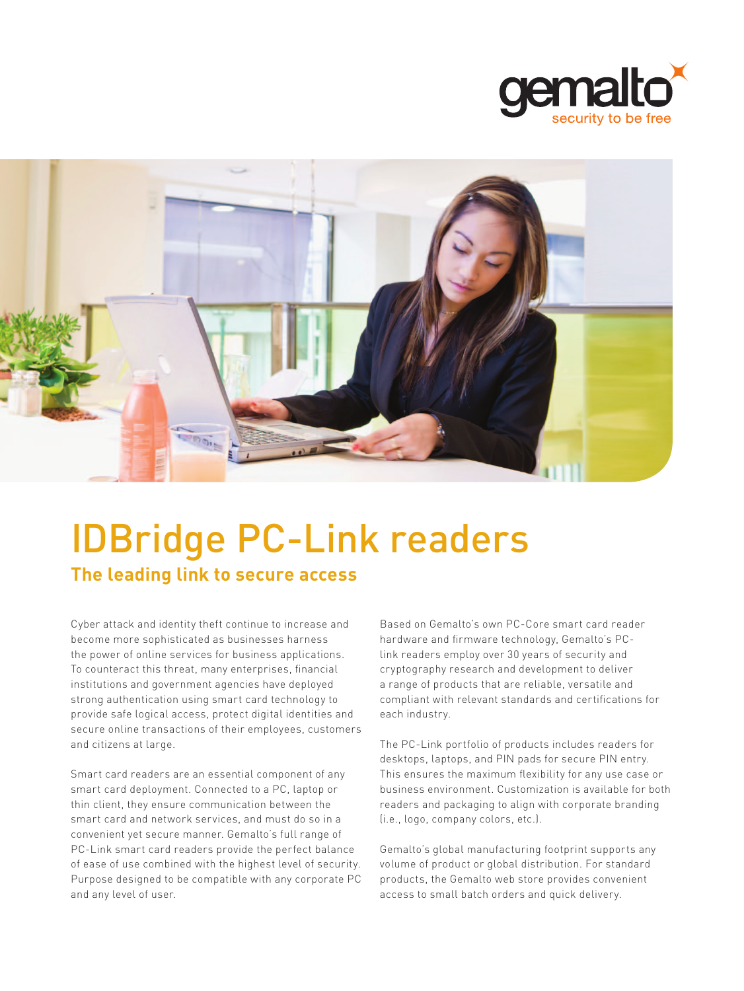



# IDBridge PC-Link readers

**The leading link to secure access**

Cyber attack and identity theft continue to increase and become more sophisticated as businesses harness the power of online services for business applications. To counteract this threat, many enterprises, financial institutions and government agencies have deployed strong authentication using smart card technology to provide safe logical access, protect digital identities and secure online transactions of their employees, customers and citizens at large.

Smart card readers are an essential component of any smart card deployment. Connected to a PC, laptop or thin client, they ensure communication between the smart card and network services, and must do so in a convenient yet secure manner. Gemalto's full range of PC-Link smart card readers provide the perfect balance of ease of use combined with the highest level of security. Purpose designed to be compatible with any corporate PC and any level of user.

Based on Gemalto's own PC-Core smart card reader hardware and firmware technology, Gemalto's PClink readers employ over 30 years of security and cryptography research and development to deliver a range of products that are reliable, versatile and compliant with relevant standards and certifications for each industry.

The PC-Link portfolio of products includes readers for desktops, laptops, and PIN pads for secure PIN entry. This ensures the maximum flexibility for any use case or business environment. Customization is available for both readers and packaging to align with corporate branding (i.e., logo, company colors, etc.).

Gemalto's global manufacturing footprint supports any volume of product or global distribution. For standard products, the Gemalto web store provides convenient access to small batch orders and quick delivery.